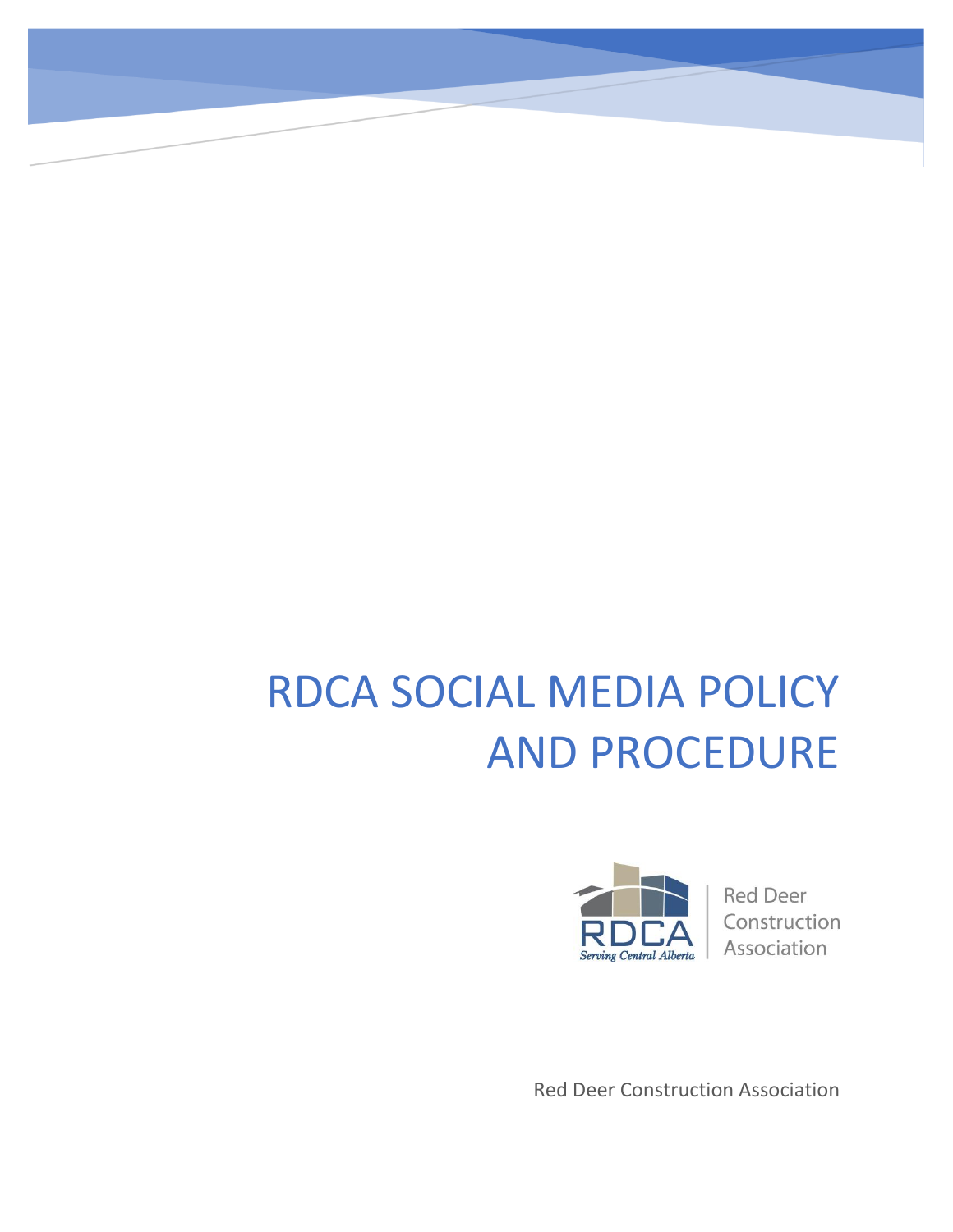# RDCA SOCIAL MEDIA POLICY AND PROCEDURE



**Red Deer** Construction Association

Red Deer Construction Association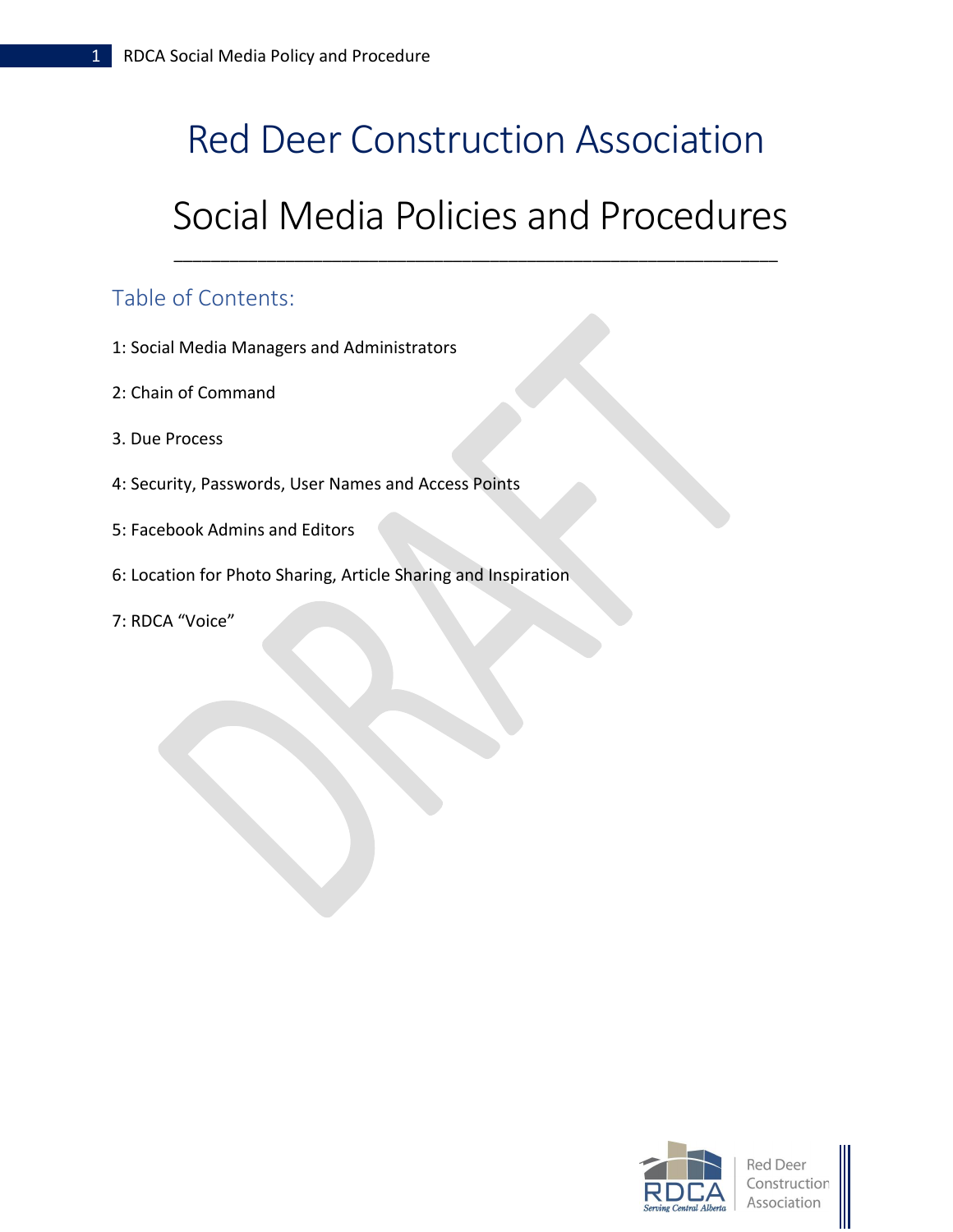# Red Deer Construction Association

#### Social Media Policies and Procedures

\_\_\_\_\_\_\_\_\_\_\_\_\_\_\_\_\_\_\_\_\_\_\_\_\_\_\_\_\_\_\_\_\_\_\_\_\_\_\_\_\_\_\_\_\_\_\_\_\_\_\_\_\_\_\_\_\_\_\_\_\_\_\_\_\_

#### Table of Contents:

- 1: Social Media Managers and Administrators
- 2: Chain of Command
- 3. Due Process
- 4: Security, Passwords, User Names and Access Points
- 5: Facebook Admins and Editors
- 6: Location for Photo Sharing, Article Sharing and Inspiration
- 7: RDCA "Voice"



Red Deei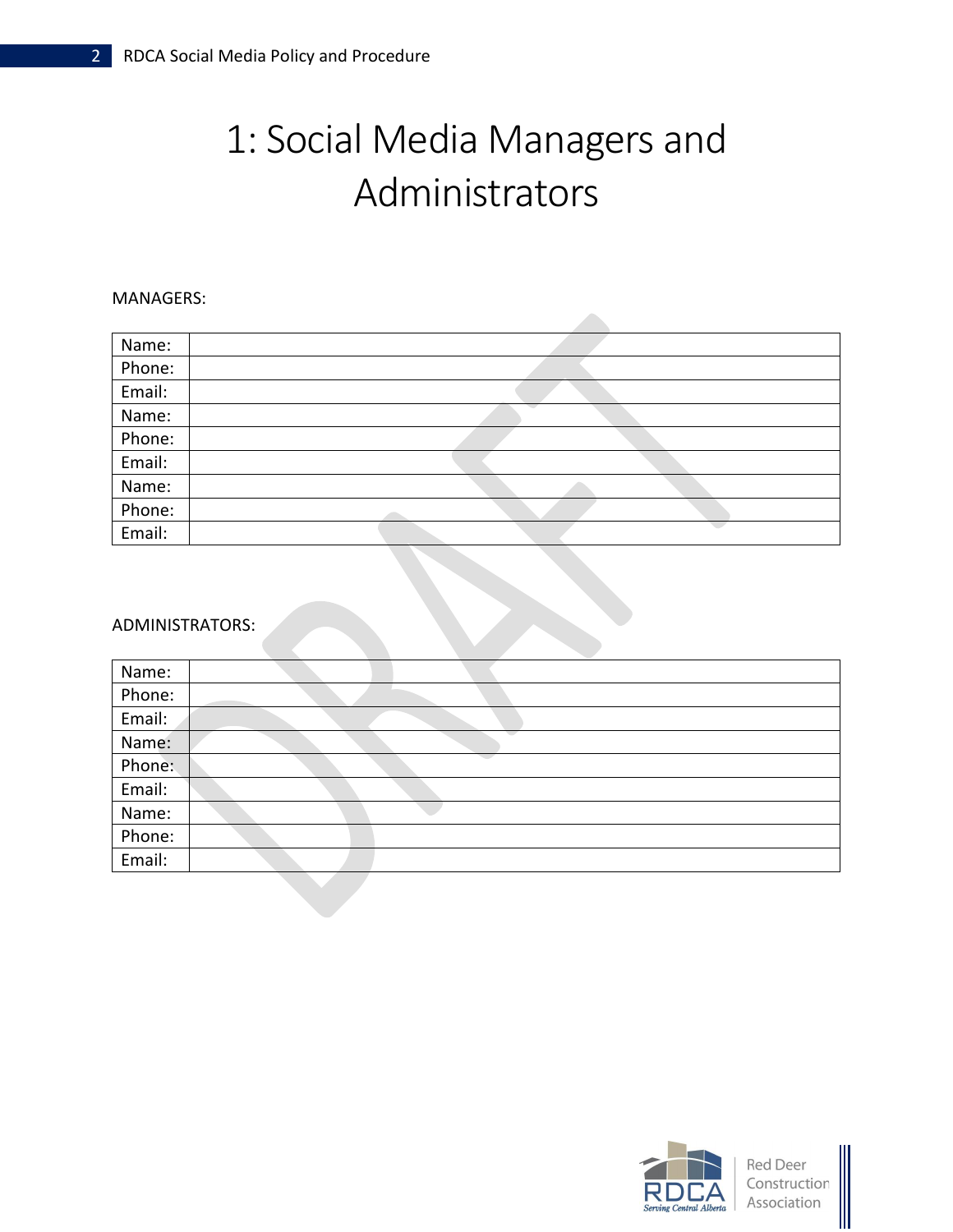## 1: Social Media Managers and Administrators

#### MANAGERS:

| Name:  |  |
|--------|--|
| Phone: |  |
| Email: |  |
| Name:  |  |
| Phone: |  |
| Email: |  |
| Name:  |  |
| Phone: |  |
| Email: |  |

#### ADMINISTRATORS:

| Name:  |  |
|--------|--|
| Phone: |  |
| Email: |  |
| Name:  |  |
| Phone: |  |
| Email: |  |
| Name:  |  |
| Phone: |  |
| Email: |  |
|        |  |



Red Deer Construction Association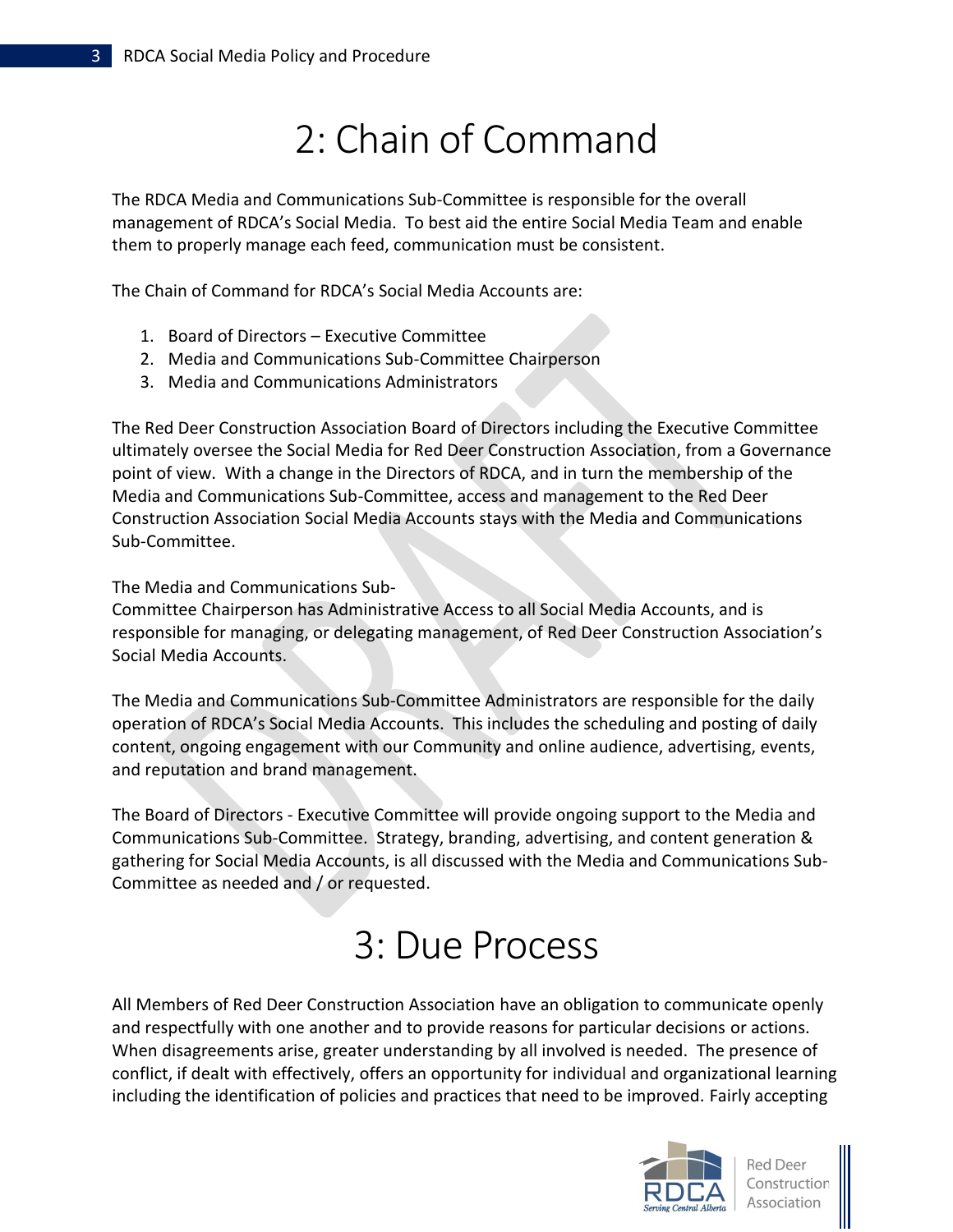### 2: Chain of Command

The RDCA Media and Communications Sub-Committee is responsible for the overall management of RDCA's Social Media. To best aid the entire Social Media Team and enable them to properly manage each feed, communication must be consistent.

The Chain of Command for RDCA's Social Media Accounts are:

- 1. Board of Directors Executive Committee
- 2. Media and Communications Sub-Committee Chairperson
- 3. Media and Communications Administrators

The Red Deer Construction Association Board of Directors including the Executive Committee ultimately oversee the Social Media for Red Deer Construction Association, from a Governance point of view. With a change in the Directors of RDCA, and in turn the membership of the Media and Communications Sub-Committee, access and management to the Red Deer Construction Association Social Media Accounts stays with the Media and Communications Sub-Committee.

The Media and Communications Sub-

Committee Chairperson has Administrative Access to all Social Media Accounts, and is responsible for managing, or delegating management, of Red Deer Construction Association's Social Media Accounts.

The Media and Communications Sub-Committee Administrators are responsible for the daily operation of RDCA's Social Media Accounts. This includes the scheduling and posting of daily content, ongoing engagement with our Community and online audience, advertising, events, and reputation and brand management.

The Board of Directors - Executive Committee will provide ongoing support to the Media and Communications Sub-Committee. Strategy, branding, advertising, and content generation & gathering for Social Media Accounts, is all discussed with the Media and Communications Sub-Committee as needed and / or requested.

### 3: Due Process

All Members of Red Deer Construction Association have an obligation to communicate openly and respectfully with one another and to provide reasons for particular decisions or actions. When disagreements arise, greater understanding by all involved is needed. The presence of conflict, if dealt with effectively, offers an opportunity for individual and organizational learning including the identification of policies and practices that need to be improved. Fairly accepting



**Red Deer** Construction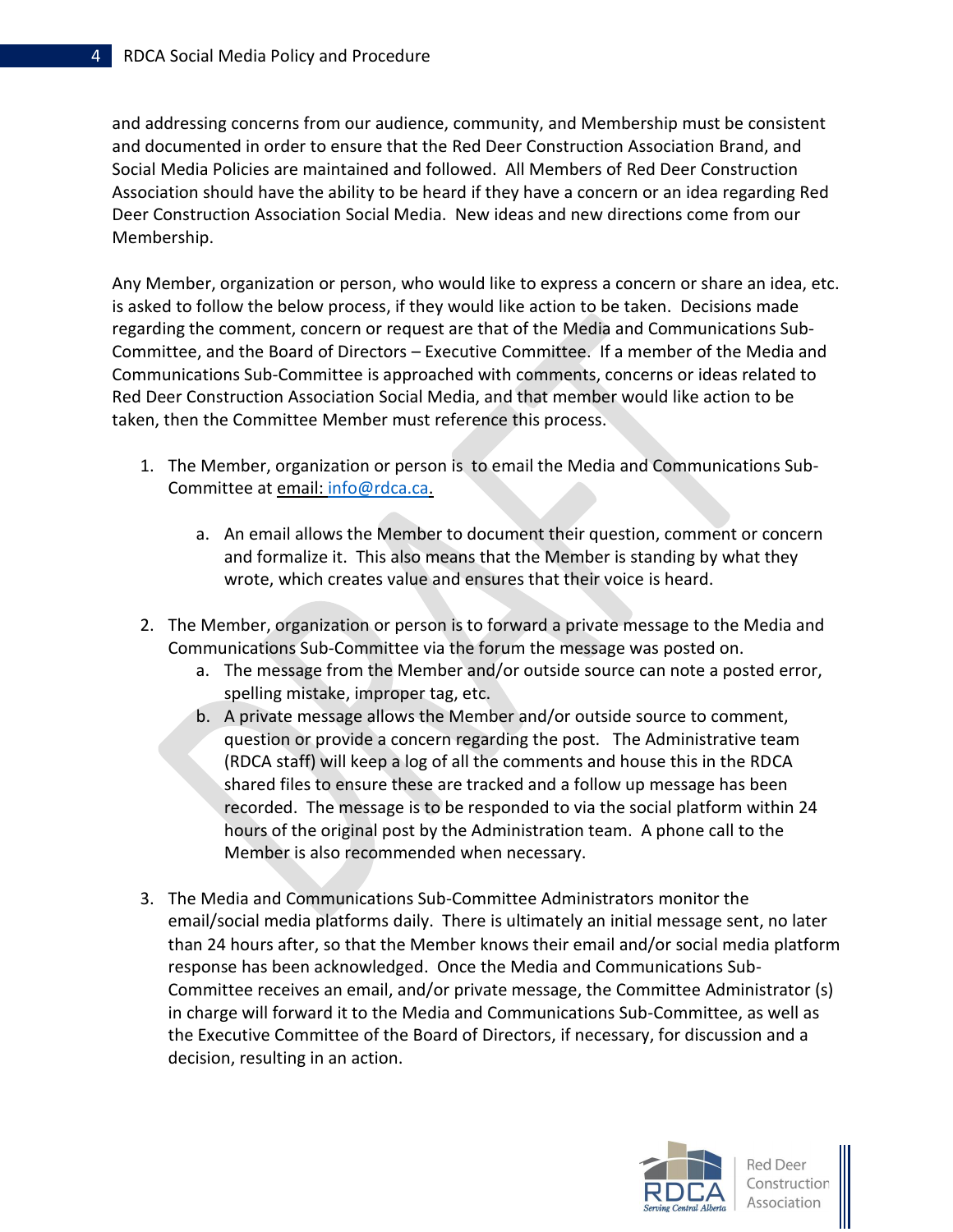and addressing concerns from our audience, community, and Membership must be consistent and documented in order to ensure that the Red Deer Construction Association Brand, and Social Media Policies are maintained and followed. All Members of Red Deer Construction Association should have the ability to be heard if they have a concern or an idea regarding Red Deer Construction Association Social Media. New ideas and new directions come from our Membership.

Any Member, organization or person, who would like to express a concern or share an idea, etc. is asked to follow the below process, if they would like action to be taken. Decisions made regarding the comment, concern or request are that of the Media and Communications Sub-Committee, and the Board of Directors – Executive Committee. If a member of the Media and Communications Sub-Committee is approached with comments, concerns or ideas related to Red Deer Construction Association Social Media, and that member would like action to be taken, then the Committee Member must reference this process.

- 1. The Member, organization or person is to email the Media and Communications Sub-Committee at [email:](mailto:marketing@strivedanceacademy.ca) [info@rdca.ca.](mailto:info@rdca.ca)
	- a. An email allows the Member to document their question, comment or concern and formalize it. This also means that the Member is standing by what they wrote, which creates value and ensures that their voice is heard.
- 2. The Member, organization or person is to forward a private message to the Media and Communications Sub-Committee via the forum the message was posted on.
	- a. The message from the Member and/or outside source can note a posted error, spelling mistake, improper tag, etc.
	- b. A private message allows the Member and/or outside source to comment, question or provide a concern regarding the post. The Administrative team (RDCA staff) will keep a log of all the comments and house this in the RDCA shared files to ensure these are tracked and a follow up message has been recorded. The message is to be responded to via the social platform within 24 hours of the original post by the Administration team. A phone call to the Member is also recommended when necessary.
- 3. The Media and Communications Sub-Committee Administrators monitor the email/social media platforms daily. There is ultimately an initial message sent, no later than 24 hours after, so that the Member knows their email and/or social media platform response has been acknowledged. Once the Media and Communications Sub-Committee receives an email, and/or private message, the Committee Administrator (s) in charge will forward it to the Media and Communications Sub-Committee, as well as the Executive Committee of the Board of Directors, if necessary, for discussion and a decision, resulting in an action.



**Red Deer** Construction Association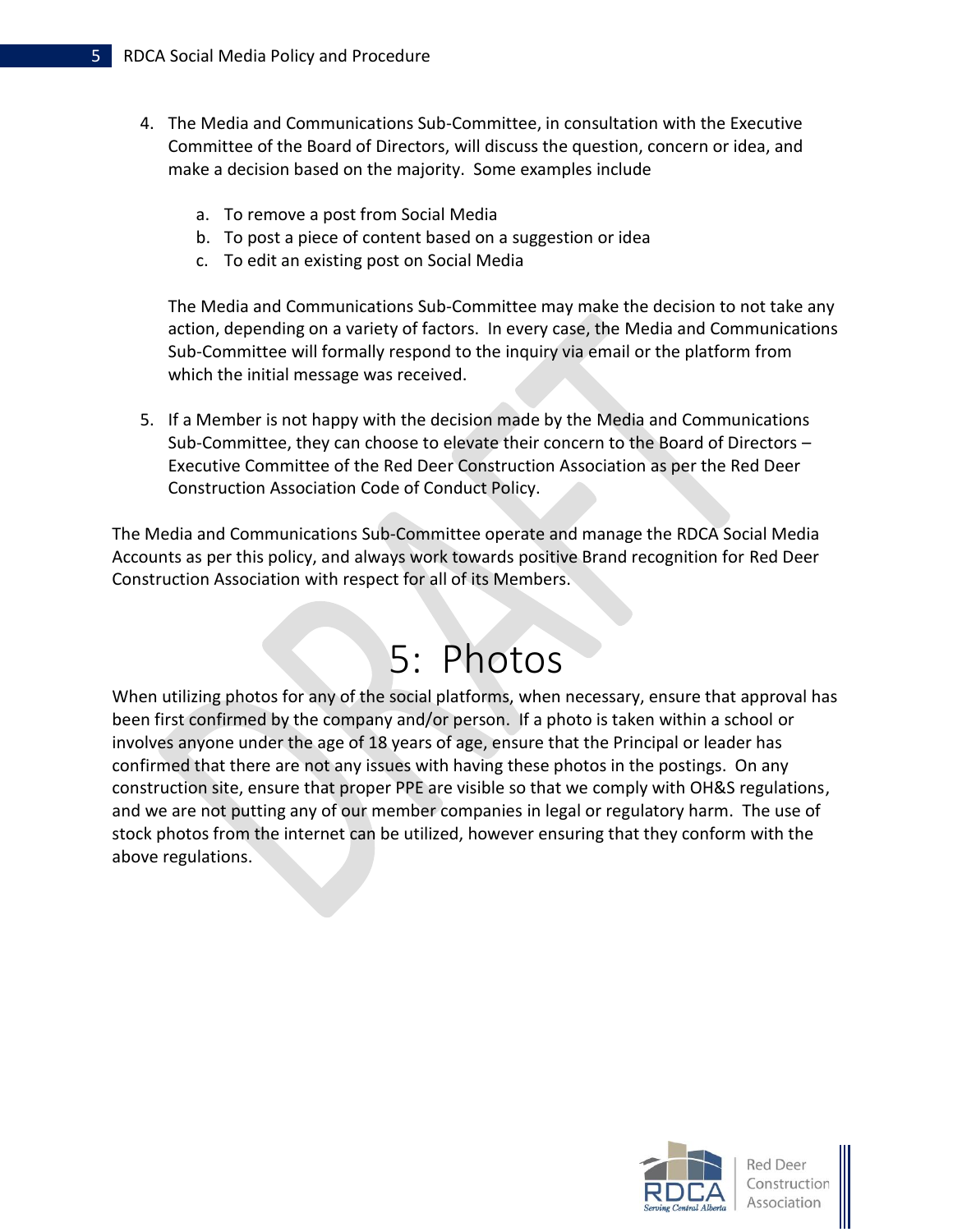- 4. The Media and Communications Sub-Committee, in consultation with the Executive Committee of the Board of Directors, will discuss the question, concern or idea, and make a decision based on the majority. Some examples include
	- a. To remove a post from Social Media
	- b. To post a piece of content based on a suggestion or idea
	- c. To edit an existing post on Social Media

The Media and Communications Sub-Committee may make the decision to not take any action, depending on a variety of factors. In every case, the Media and Communications Sub-Committee will formally respond to the inquiry via email or the platform from which the initial message was received.

5. If a Member is not happy with the decision made by the Media and Communications Sub-Committee, they can choose to elevate their concern to the Board of Directors – Executive Committee of the Red Deer Construction Association as per the Red Deer Construction Association Code of Conduct Policy.

The Media and Communications Sub-Committee operate and manage the RDCA Social Media Accounts as per this policy, and always work towards positive Brand recognition for Red Deer Construction Association with respect for all of its Members.

### 5: Photos

When utilizing photos for any of the social platforms, when necessary, ensure that approval has been first confirmed by the company and/or person. If a photo is taken within a school or involves anyone under the age of 18 years of age, ensure that the Principal or leader has confirmed that there are not any issues with having these photos in the postings. On any construction site, ensure that proper PPE are visible so that we comply with OH&S regulations, and we are not putting any of our member companies in legal or regulatory harm. The use of stock photos from the internet can be utilized, however ensuring that they conform with the above regulations.



**Red Deer** Construction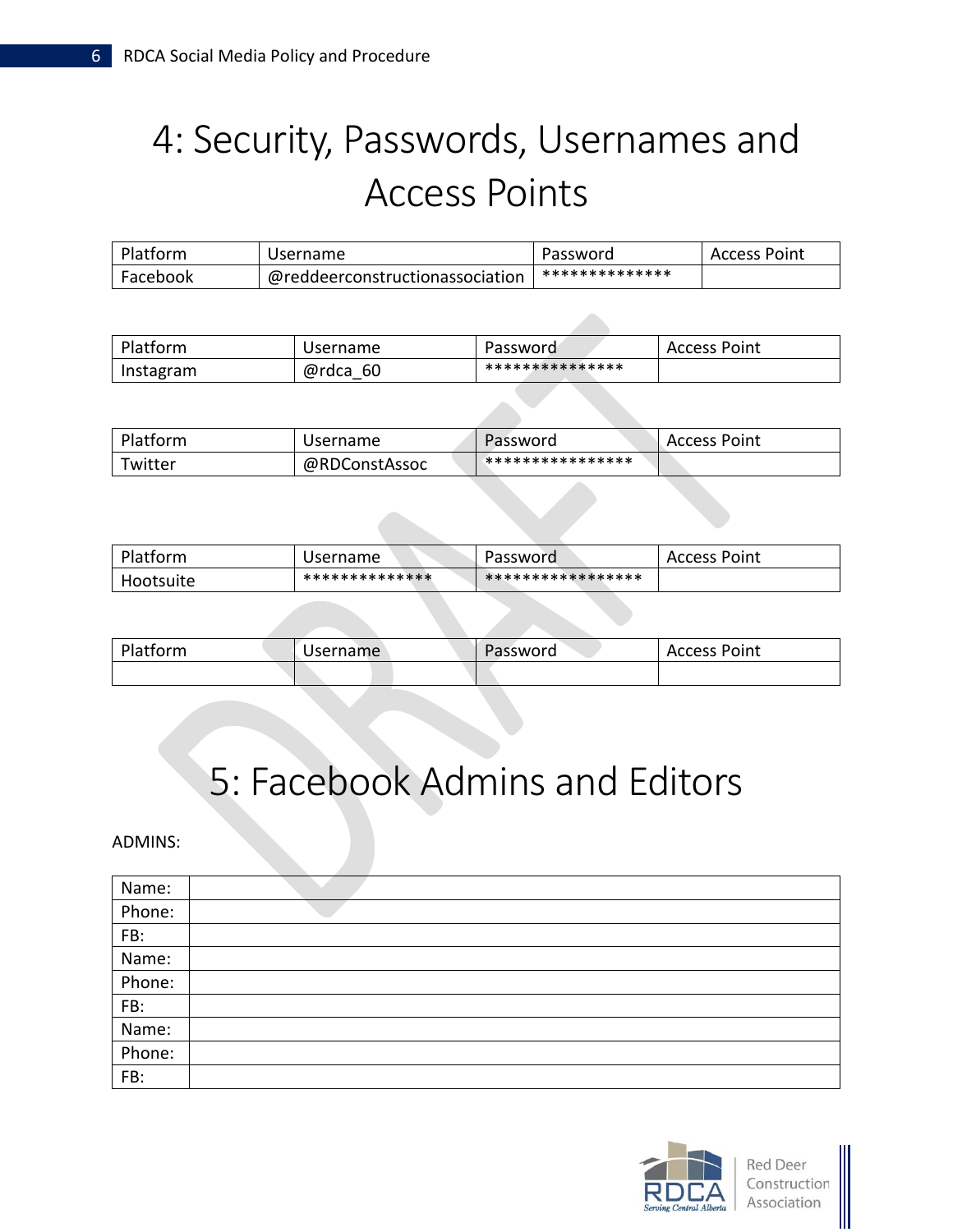# 4: Security, Passwords, Usernames and Access Points

| Platform | Username                        | Password       | <b>Access Point</b> |
|----------|---------------------------------|----------------|---------------------|
| Facebook | @reddeerconstructionassociation | ************** |                     |

| Platform  | Username     | Password        | Access Point |
|-----------|--------------|-----------------|--------------|
| Instagram | @rdca<br>-60 | *************** |              |

| Platform | Username      | Password         | Access Point |
|----------|---------------|------------------|--------------|
| Twitter  | @RDConstAssoc | **************** |              |

| Platform  | Username       | Password          | Access Point |
|-----------|----------------|-------------------|--------------|
| Hootsuite | ************** | ***************** |              |

| Platform | Username | Password | Access Point |
|----------|----------|----------|--------------|
|          |          |          |              |

### 5: Facebook Admins and Editors

#### ADMINS:

| Name:  |  |
|--------|--|
| Phone: |  |
| FB:    |  |
| Name:  |  |
| Phone: |  |
| FB:    |  |
| Name:  |  |
| Phone: |  |
| FB:    |  |

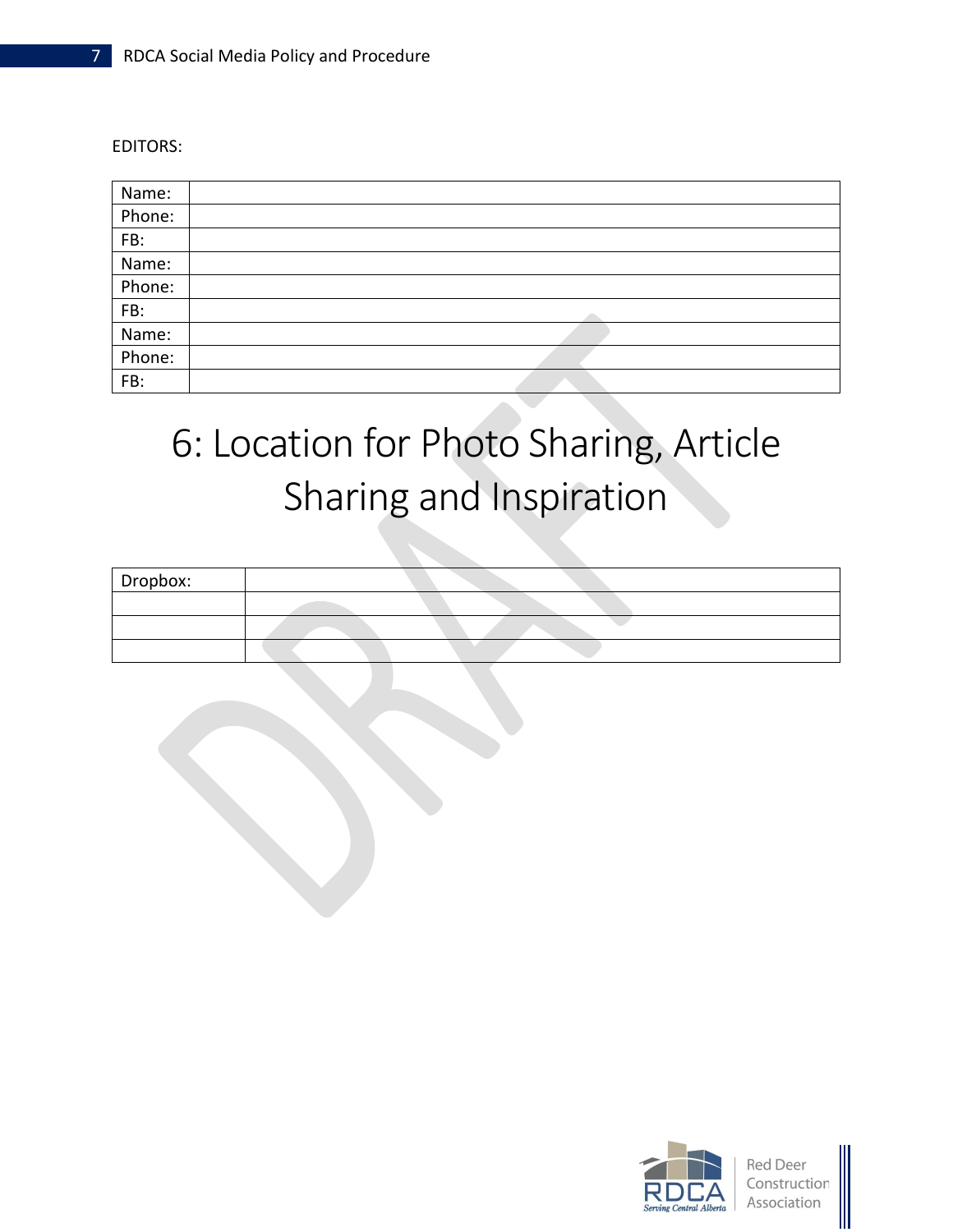EDITORS:

| Name:  |  |
|--------|--|
| Phone: |  |
| FB:    |  |
| Name:  |  |
| Phone: |  |
| FB:    |  |
| Name:  |  |
| Phone: |  |
| FB:    |  |

# 6: Location for Photo Sharing, Article Sharing and Inspiration

| Dropbox: |  |
|----------|--|
|          |  |
|          |  |
|          |  |



**Red Deer** Construction Association